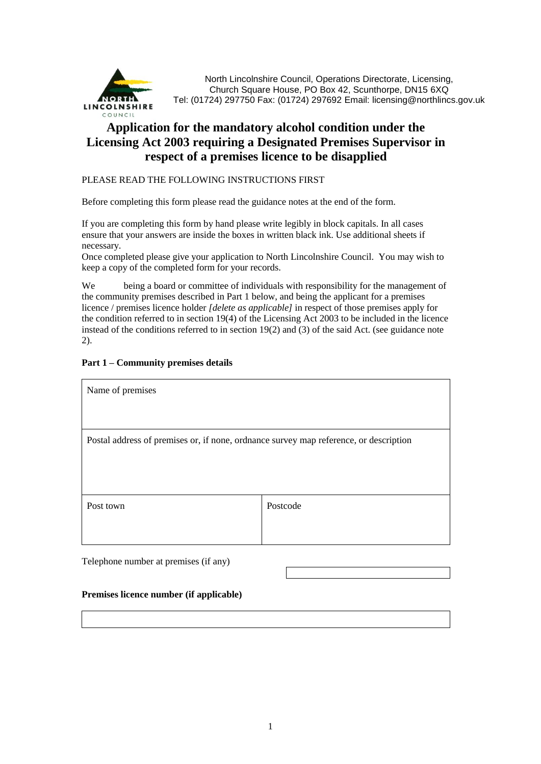

North Lincolnshire Council, Operations Directorate, Licensing, Church Square House, PO Box 42, Scunthorpe, DN15 6XQ Tel: (01724) 297750 Fax: (01724) 297692 Email: licensing@northlincs.gov.uk

# **Application for the mandatory alcohol condition under the Licensing Act 2003 requiring a Designated Premises Supervisor in respect of a premises licence to be disapplied**

#### PLEASE READ THE FOLLOWING INSTRUCTIONS FIRST

Before completing this form please read the guidance notes at the end of the form.

If you are completing this form by hand please write legibly in block capitals. In all cases ensure that your answers are inside the boxes in written black ink. Use additional sheets if necessary.

Once completed please give your application to North Lincolnshire Council. You may wish to keep a copy of the completed form for your records.

We being a board or committee of individuals with responsibility for the management of the community premises described in Part 1 below, and being the applicant for a premises licence / premises licence holder *[delete as applicable]* in respect of those premises apply for the condition referred to in section 19(4) of the Licensing Act 2003 to be included in the licence instead of the conditions referred to in section 19(2) and (3) of the said Act. (see guidance note 2).

### **Part 1 – Community premises details**

| Name of premises                                                                      |          |  |
|---------------------------------------------------------------------------------------|----------|--|
|                                                                                       |          |  |
| Postal address of premises or, if none, ordnance survey map reference, or description |          |  |
|                                                                                       |          |  |
|                                                                                       |          |  |
| Post town                                                                             | Postcode |  |
|                                                                                       |          |  |
|                                                                                       |          |  |

Telephone number at premises (if any)

#### **Premises licence number (if applicable)**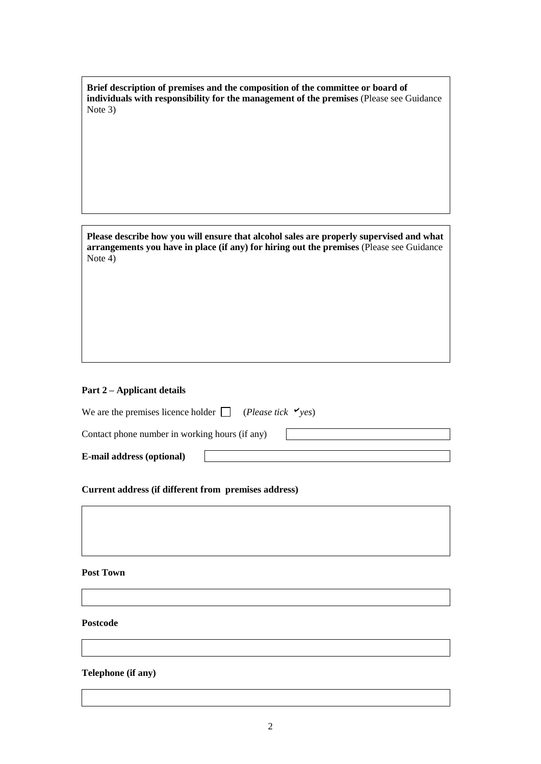| Brief description of premises and the composition of the committee or board of          |
|-----------------------------------------------------------------------------------------|
| individuals with responsibility for the management of the premises (Please see Guidance |
| Note $3)$                                                                               |

**Please describe how you will ensure that alcohol sales are properly supervised and what arrangements you have in place (if any) for hiring out the premises** (Please see Guidance Note 4)

#### **Part 2 – Applicant details**

We are the premises licence holder  $\Box$  (*Please tick*  $\checkmark$  yes) Contact phone number in working hours (if any) **E-mail address (optional)** 

**Current address (if different from premises address)**

## **Post Town**

#### **Postcode**

### **Telephone (if any)**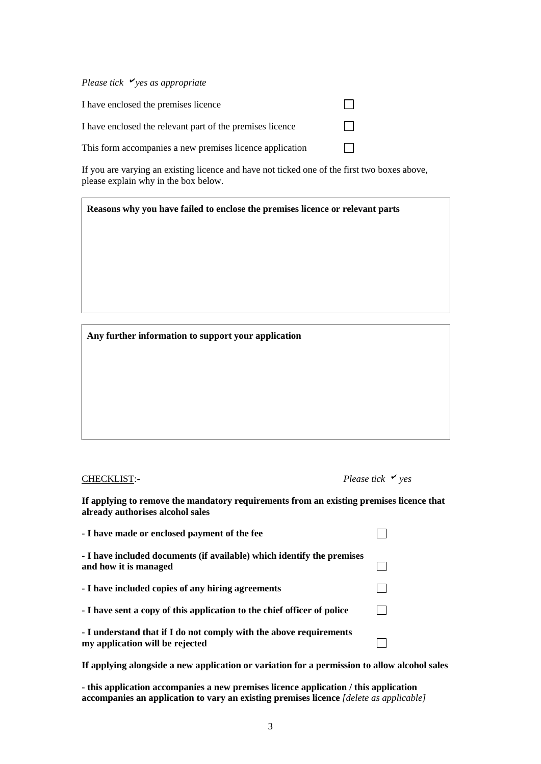*Please tick yes as appropriate*

| I have enclosed the premises licence                      |         |
|-----------------------------------------------------------|---------|
| I have enclosed the relevant part of the premises licence | $\perp$ |
| This form accompanies a new premises licence application  |         |

If you are varying an existing licence and have not ticked one of the first two boxes above, please explain why in the box below.

**Reasons why you have failed to enclose the premises licence or relevant parts**

**Any further information to support your application**

#### CHECKLIST:- *Please tick yes*

| Please tick |  |  | $\vee$ yes |
|-------------|--|--|------------|
|-------------|--|--|------------|

**If applying to remove the mandatory requirements from an existing premises licence that already authorises alcohol sales** 

| - I have made or enclosed payment of the fee                                                          |  |
|-------------------------------------------------------------------------------------------------------|--|
| - I have included documents (if available) which identify the premises<br>and how it is managed       |  |
| - I have included copies of any hiring agreements                                                     |  |
| - I have sent a copy of this application to the chief officer of police                               |  |
| - I understand that if I do not comply with the above requirements<br>my application will be rejected |  |

**If applying alongside a new application or variation for a permission to allow alcohol sales**

**- this application accompanies a new premises licence application / this application accompanies an application to vary an existing premises licence** *[delete as applicable]*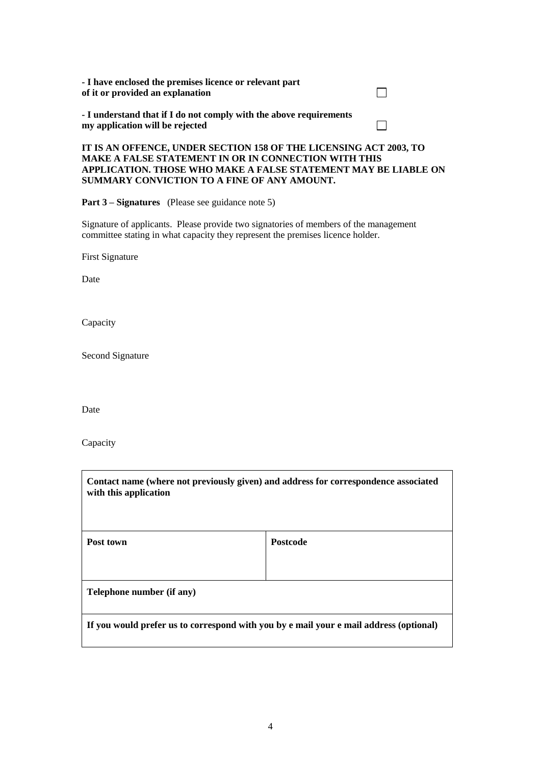| - I have enclosed the premises licence or relevant part<br>of it or provided an explanation           |  |
|-------------------------------------------------------------------------------------------------------|--|
| - I understand that if I do not comply with the above requirements<br>my application will be rejected |  |

#### **IT IS AN OFFENCE, UNDER SECTION 158 OF THE LICENSING ACT 2003, TO MAKE A FALSE STATEMENT IN OR IN CONNECTION WITH THIS APPLICATION. THOSE WHO MAKE A FALSE STATEMENT MAY BE LIABLE ON SUMMARY CONVICTION TO A FINE OF ANY AMOUNT.**

**Part 3 – Signatures** (Please see guidance note 5)

Signature of applicants. Please provide two signatories of members of the management committee stating in what capacity they represent the premises licence holder.

First Signature

Date

Capacity

Second Signature

Date

Capacity

| Contact name (where not previously given) and address for correspondence associated<br>with this application |                 |
|--------------------------------------------------------------------------------------------------------------|-----------------|
| Post town                                                                                                    | <b>Postcode</b> |
|                                                                                                              |                 |
| Telephone number (if any)                                                                                    |                 |
| If you would prefer us to correspond with you by e mail your e mail address (optional)                       |                 |